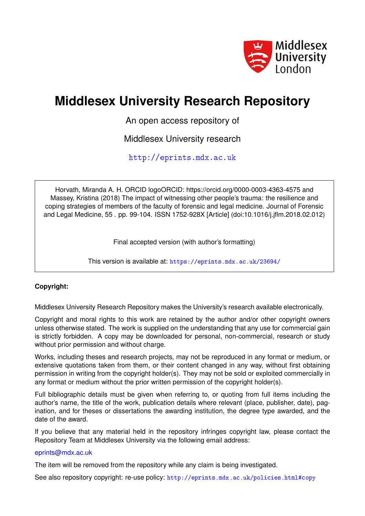

# **Middlesex University Research Repository**

An open access repository of

Middlesex University research

<http://eprints.mdx.ac.uk>

Horvath, Miranda A. H. ORCID logoORCID: https://orcid.org/0000-0003-4363-4575 and Massey, Kristina (2018) The impact of witnessing other people's trauma: the resilience and coping strategies of members of the faculty of forensic and legal medicine. Journal of Forensic and Legal Medicine, 55 . pp. 99-104. ISSN 1752-928X [Article] (doi:10.1016/j.jflm.2018.02.012)

Final accepted version (with author's formatting)

This version is available at: <https://eprints.mdx.ac.uk/23694/>

# **Copyright:**

Middlesex University Research Repository makes the University's research available electronically.

Copyright and moral rights to this work are retained by the author and/or other copyright owners unless otherwise stated. The work is supplied on the understanding that any use for commercial gain is strictly forbidden. A copy may be downloaded for personal, non-commercial, research or study without prior permission and without charge.

Works, including theses and research projects, may not be reproduced in any format or medium, or extensive quotations taken from them, or their content changed in any way, without first obtaining permission in writing from the copyright holder(s). They may not be sold or exploited commercially in any format or medium without the prior written permission of the copyright holder(s).

Full bibliographic details must be given when referring to, or quoting from full items including the author's name, the title of the work, publication details where relevant (place, publisher, date), pagination, and for theses or dissertations the awarding institution, the degree type awarded, and the date of the award.

If you believe that any material held in the repository infringes copyright law, please contact the Repository Team at Middlesex University via the following email address:

# [eprints@mdx.ac.uk](mailto:eprints@mdx.ac.uk)

The item will be removed from the repository while any claim is being investigated.

See also repository copyright: re-use policy: <http://eprints.mdx.ac.uk/policies.html#copy>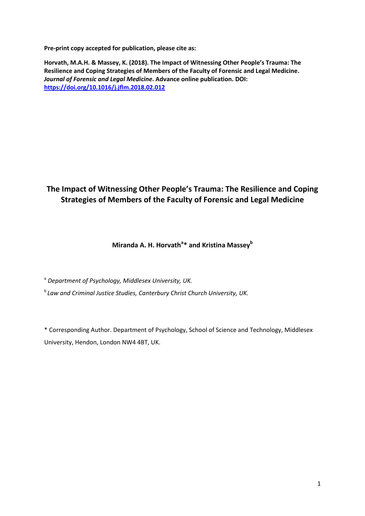**Pre-print copy accepted for publication, please cite as:**

**Horvath, M.A.H. & Massey, K. (2018). The Impact of Witnessing Other People's Trauma: The Resilience and Coping Strategies of Members of the Faculty of Forensic and Legal Medicine.**  *Journal of Forensic and Legal Medicine***. Advance online publication. DOI: <https://doi.org/10.1016/j.jflm.2018.02.012>**

# **The Impact of Witnessing Other People's Trauma: The Resilience and Coping Strategies of Members of the Faculty of Forensic and Legal Medicine**

# **Miranda A. H. Horvath<sup>a</sup> \* and Kristina Massey<sup>b</sup>**

<sup>a</sup> *Department of Psychology, Middlesex University, UK.*

<sup>b</sup>*Law and Criminal Justice Studies, Canterbury Christ Church University, UK.*

\* Corresponding Author. Department of Psychology, School of Science and Technology, Middlesex University, Hendon, London NW4 4BT, UK.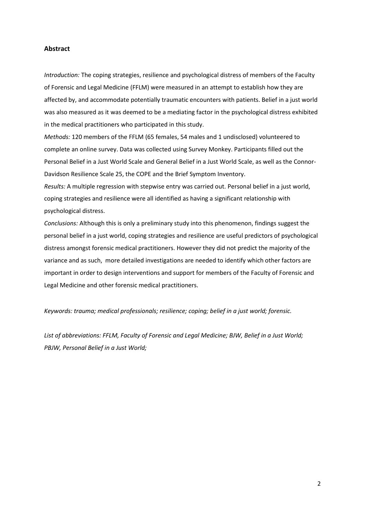## **Abstract**

*Introduction:* The coping strategies, resilience and psychological distress of members of the Faculty of Forensic and Legal Medicine (FFLM) were measured in an attempt to establish how they are affected by, and accommodate potentially traumatic encounters with patients. Belief in a just world was also measured as it was deemed to be a mediating factor in the psychological distress exhibited in the medical practitioners who participated in this study.

*Methods:* 120 members of the FFLM (65 females, 54 males and 1 undisclosed) volunteered to complete an online survey. Data was collected using Survey Monkey. Participants filled out the Personal Belief in a Just World Scale and General Belief in a Just World Scale, as well as the Connor-Davidson Resilience Scale 25, the COPE and the Brief Symptom Inventory.

*Results:* A multiple regression with stepwise entry was carried out. Personal belief in a just world, coping strategies and resilience were all identified as having a significant relationship with psychological distress.

*Conclusions:* Although this is only a preliminary study into this phenomenon, findings suggest the personal belief in a just world, coping strategies and resilience are useful predictors of psychological distress amongst forensic medical practitioners. However they did not predict the majority of the variance and as such, more detailed investigations are needed to identify which other factors are important in order to design interventions and support for members of the Faculty of Forensic and Legal Medicine and other forensic medical practitioners.

*Keywords: trauma; medical professionals; resilience; coping; belief in a just world; forensic.*

*List of abbreviations: FFLM, Faculty of Forensic and Legal Medicine; BJW, Belief in a Just World; PBJW, Personal Belief in a Just World;*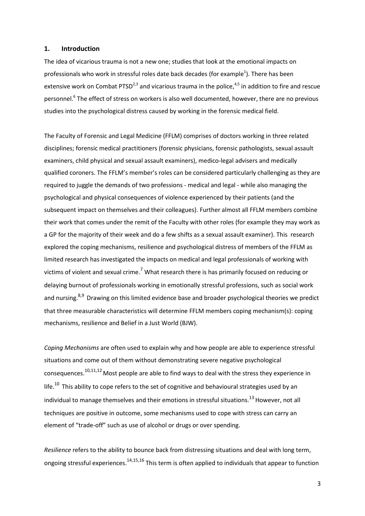## **1. Introduction**

The idea of vicarious trauma is not a new one; studies that look at the emotional impacts on professionals who work in stressful roles date back decades (for example<sup>1</sup>). There has been extensive work on Combat PTSD<sup>2,3</sup> and vicarious trauma in the police,<sup>4,5</sup> in addition to fire and rescue personnel.<sup>6</sup> The effect of stress on workers is also well documented, however, there are no previous studies into the psychological distress caused by working in the forensic medical field.

The Faculty of Forensic and Legal Medicine (FFLM) comprises of doctors working in three related disciplines; forensic medical practitioners (forensic physicians, forensic pathologists, sexual assault examiners, child physical and sexual assault examiners), medico-legal advisers and medically qualified coroners. The FFLM's member's roles can be considered particularly challenging as they are required to juggle the demands of two professions - medical and legal - while also managing the psychological and physical consequences of violence experienced by their patients (and the subsequent impact on themselves and their colleagues). Further almost all FFLM members combine their work that comes under the remit of the Faculty with other roles (for example they may work as a GP for the majority of their week and do a few shifts as a sexual assault examiner). This research explored the coping mechanisms, resilience and psychological distress of members of the FFLM as limited research has investigated the impacts on medical and legal professionals of working with victims of violent and sexual crime.<sup>7</sup> What research there is has primarily focused on reducing or delaying burnout of professionals working in emotionally stressful professions, such as social work and nursing.<sup>8,9</sup> Drawing on this limited evidence base and broader psychological theories we predict that three measurable characteristics will determine FFLM members coping mechanism(s): coping mechanisms, resilience and Belief in a Just World (BJW).

*Coping Mechanisms* are often used to explain why and how people are able to experience stressful situations and come out of them without demonstrating severe negative psychological consequences.<sup>10,11,12</sup> Most people are able to find ways to deal with the stress they experience in life.<sup>10</sup> This ability to cope refers to the set of cognitive and behavioural strategies used by an individual to manage themselves and their emotions in stressful situations.<sup>13</sup> However, not all techniques are positive in outcome, some mechanisms used to cope with stress can carry an element of "trade-off" such as use of alcohol or drugs or over spending.

*Resilience* refers to the ability to bounce back from distressing situations and deal with long term, ongoing stressful experiences.<sup>14,15,16</sup> This term is often applied to individuals that appear to function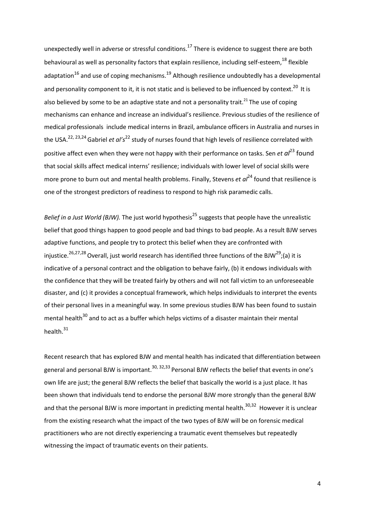unexpectedly well in adverse or stressful conditions.<sup>17</sup> There is evidence to suggest there are both behavioural as well as personality factors that explain resilience, including self-esteem, <sup>18</sup> flexible adaptation<sup>16</sup> and use of coping mechanisms.<sup>19</sup> Although resilience undoubtedly has a developmental and personality component to it, it is not static and is believed to be influenced by context.<sup>20</sup> It is also believed by some to be an adaptive state and not a personality trait.<sup>21</sup> The use of coping mechanisms can enhance and increase an individual's resilience. Previous studies of the resilience of medical professionals include medical interns in Brazil, ambulance officers in Australia and nurses in the USA.<sup>22, 23,24</sup> Gabriel *et al's*<sup>22</sup> study of nurses found that high levels of resilience correlated with positive affect even when they were not happy with their performance on tasks. Sen *et al*<sup>23</sup> found that social skills affect medical interns' resilience; individuals with lower level of social skills were more prone to burn out and mental health problems. Finally, Stevens *et al*<sup>24</sup> found that resilience is one of the strongest predictors of readiness to respond to high risk paramedic calls.

*Belief in a Just World (BJW)*. The just world hypothesis<sup>25</sup> suggests that people have the unrealistic belief that good things happen to good people and bad things to bad people. As a result BJW serves adaptive functions, and people try to protect this belief when they are confronted with injustice.<sup>26,27,28</sup> Overall, just world research has identified three functions of the BJW<sup>29</sup>;(a) it is indicative of a personal contract and the obligation to behave fairly, (b) it endows individuals with the confidence that they will be treated fairly by others and will not fall victim to an unforeseeable disaster, and (c) it provides a conceptual framework, which helps individuals to interpret the events of their personal lives in a meaningful way. In some previous studies BJW has been found to sustain mental health $30$  and to act as a buffer which helps victims of a disaster maintain their mental health. 31

Recent research that has explored BJW and mental health has indicated that differentiation between general and personal BJW is important.<sup>30, 32,33</sup> Personal BJW reflects the belief that events in one's own life are just; the general BJW reflects the belief that basically the world is a just place. It has been shown that individuals tend to endorse the personal BJW more strongly than the general BJW and that the personal BJW is more important in predicting mental health.<sup>30,32</sup> However it is unclear from the existing research what the impact of the two types of BJW will be on forensic medical practitioners who are not directly experiencing a traumatic event themselves but repeatedly witnessing the impact of traumatic events on their patients.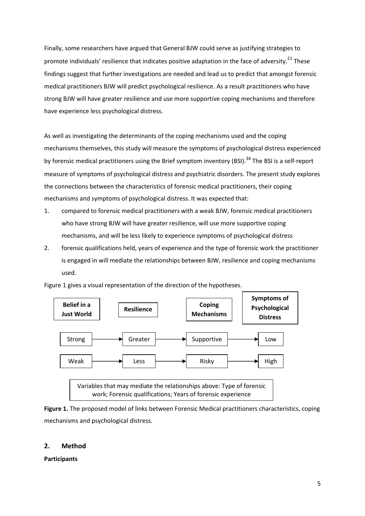Finally, some researchers have argued that General BJW could serve as justifying strategies to promote individuals' resilience that indicates positive adaptation in the face of adversity.<sup>21</sup> These findings suggest that further investigations are needed and lead us to predict that amongst forensic medical practitioners BJW will predict psychological resilience. As a result practitioners who have strong BJW will have greater resilience and use more supportive coping mechanisms and therefore have experience less psychological distress.

As well as investigating the determinants of the coping mechanisms used and the coping mechanisms themselves, this study will measure the symptoms of psychological distress experienced by forensic medical practitioners using the Brief symptom inventory (BSI).<sup>34</sup> The BSI is a self-report measure of symptoms of psychological distress and psychiatric disorders. The present study explores the connections between the characteristics of forensic medical practitioners, their coping mechanisms and symptoms of psychological distress. It was expected that:

- 1. compared to forensic medical practitioners with a weak BJW, forensic medical practitioners who have strong BJW will have greater resilience, will use more supportive coping mechanisms, and will be less likely to experience symptoms of psychological distress
- 2. forensic qualifications held, years of experience and the type of forensic work the practitioner is engaged in will mediate the relationships between BJW, resilience and coping mechanisms used.



Figure 1 gives a visual representation of the direction of the hypotheses.

**Figure 1.** The proposed model of links between Forensic Medical practitioners characteristics, coping mechanisms and psychological distress.

# **2. Method**

**Participants**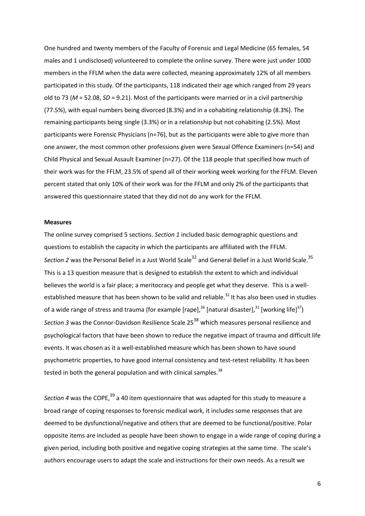One hundred and twenty members of the Faculty of Forensic and Legal Medicine (65 females, 54 males and 1 undisclosed) volunteered to complete the online survey. There were just under 1000 members in the FFLM when the data were collected, meaning approximately 12% of all members participated in this study. Of the participants, 118 indicated their age which ranged from 29 years old to 73 (*M* = 52.08, *SD* = 9.21). Most of the participants were married or in a civil partnership (77.5%), with equal numbers being divorced (8.3%) and in a cohabiting relationship (8.3%). The remaining participants being single (3.3%) or in a relationship but not cohabiting (2.5%). Most participants were Forensic Physicians (n=76), but as the participants were able to give more than one answer, the most common other professions given were Sexual Offence Examiners (n=54) and Child Physical and Sexual Assault Examiner (n=27). Of the 118 people that specified how much of their work was for the FFLM, 23.5% of spend all of their working week working for the FFLM. Eleven percent stated that only 10% of their work was for the FFLM and only 2% of the participants that answered this questionnaire stated that they did not do any work for the FFLM.

#### **Measures**

The online survey comprised 5 sections. *Section 1* included basic demographic questions and questions to establish the capacity in which the participants are affiliated with the FFLM. Section 2 was the Personal Belief in a Just World Scale<sup>32</sup> and General Belief in a Just World Scale.<sup>35</sup> This is a 13 question measure that is designed to establish the extent to which and individual believes the world is a fair place; a meritocracy and people get what they deserve. This is a wellestablished measure that has been shown to be valid and reliable.<sup>32</sup> It has also been used in studies of a wide range of stress and trauma (for example [rape],<sup>36</sup> [natural disaster],<sup>31</sup> [working life]<sup>37</sup>) Section 3 was the Connor-Davidson Resilience Scale 25<sup>38</sup> which measures personal resilience and psychological factors that have been shown to reduce the negative impact of trauma and difficult life events. It was chosen as it a well-established measure which has been shown to have sound psychometric properties, to have good internal consistency and test-retest reliability. It has been tested in both the general population and with clinical samples.<sup>38</sup>

Section 4 was the COPE,<sup>39</sup> a 40 item questionnaire that was adapted for this study to measure a broad range of coping responses to forensic medical work, it includes some responses that are deemed to be dysfunctional/negative and others that are deemed to be functional/positive. Polar opposite items are included as people have been shown to engage in a wide range of coping during a given period, including both positive and negative coping strategies at the same time. The scale's authors encourage users to adapt the scale and instructions for their own needs. As a result we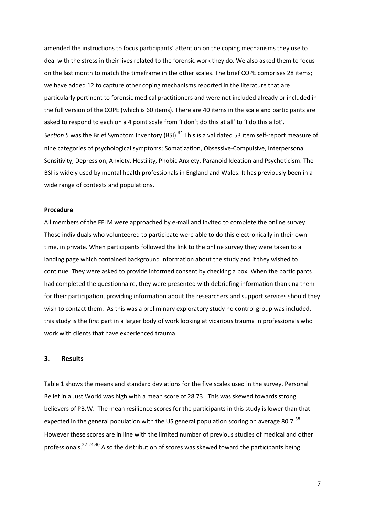amended the instructions to focus participants' attention on the coping mechanisms they use to deal with the stress in their lives related to the forensic work they do. We also asked them to focus on the last month to match the timeframe in the other scales. The brief COPE comprises 28 items; we have added 12 to capture other coping mechanisms reported in the literature that are particularly pertinent to forensic medical practitioners and were not included already or included in the full version of the COPE (which is 60 items). There are 40 items in the scale and participants are asked to respond to each on a 4 point scale from 'I don't do this at all' to 'I do this a lot'. Section 5 was the Brief Symptom Inventory (BSI).<sup>34</sup> This is a validated 53 item self-report measure of nine categories of psychological symptoms; Somatization, Obsessive-Compulsive, Interpersonal Sensitivity, Depression, Anxiety, Hostility, Phobic Anxiety, Paranoid Ideation and Psychoticism. The BSI is widely used by mental health professionals in England and Wales. It has previously been in a wide range of contexts and populations.

#### **Procedure**

All members of the FFLM were approached by e-mail and invited to complete the online survey. Those individuals who volunteered to participate were able to do this electronically in their own time, in private. When participants followed the link to the online survey they were taken to a landing page which contained background information about the study and if they wished to continue. They were asked to provide informed consent by checking a box. When the participants had completed the questionnaire, they were presented with debriefing information thanking them for their participation, providing information about the researchers and support services should they wish to contact them. As this was a preliminary exploratory study no control group was included, this study is the first part in a larger body of work looking at vicarious trauma in professionals who work with clients that have experienced trauma.

# **3. Results**

Table 1 shows the means and standard deviations for the five scales used in the survey. Personal Belief in a Just World was high with a mean score of 28.73. This was skewed towards strong believers of PBJW. The mean resilience scores for the participants in this study is lower than that expected in the general population with the US general population scoring on average 80.7.<sup>38</sup> However these scores are in line with the limited number of previous studies of medical and other professionals.<sup>22-24,40</sup> Also the distribution of scores was skewed toward the participants being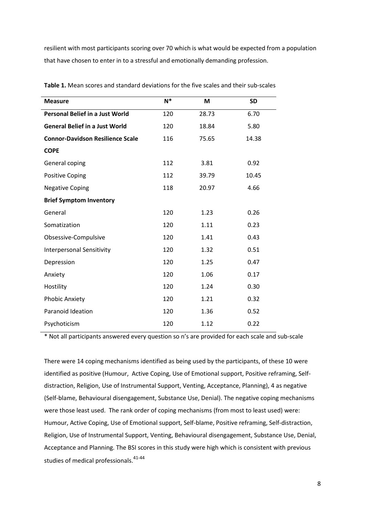resilient with most participants scoring over 70 which is what would be expected from a population that have chosen to enter in to a stressful and emotionally demanding profession.

| <b>Measure</b>                          | $N^*$ | M     | <b>SD</b> |
|-----------------------------------------|-------|-------|-----------|
| <b>Personal Belief in a Just World</b>  | 120   | 28.73 | 6.70      |
| <b>General Belief in a Just World</b>   | 120   | 18.84 | 5.80      |
| <b>Connor-Davidson Resilience Scale</b> | 116   | 75.65 | 14.38     |
| <b>COPE</b>                             |       |       |           |
| General coping                          | 112   | 3.81  | 0.92      |
| Positive Coping                         | 112   | 39.79 | 10.45     |
| <b>Negative Coping</b>                  | 118   | 20.97 | 4.66      |
| <b>Brief Symptom Inventory</b>          |       |       |           |
| General                                 | 120   | 1.23  | 0.26      |
| Somatization                            | 120   | 1.11  | 0.23      |
| Obsessive-Compulsive                    | 120   | 1.41  | 0.43      |
| <b>Interpersonal Sensitivity</b>        | 120   | 1.32  | 0.51      |
| Depression                              | 120   | 1.25  | 0.47      |
| Anxiety                                 | 120   | 1.06  | 0.17      |
| Hostility                               | 120   | 1.24  | 0.30      |
| <b>Phobic Anxiety</b>                   | 120   | 1.21  | 0.32      |
| Paranoid Ideation                       | 120   | 1.36  | 0.52      |
| Psychoticism                            | 120   | 1.12  | 0.22      |

**Table 1.** Mean scores and standard deviations for the five scales and their sub-scales

\* Not all participants answered every question so n's are provided for each scale and sub-scale

There were 14 coping mechanisms identified as being used by the participants, of these 10 were identified as positive (Humour, Active Coping, Use of Emotional support, Positive reframing, Selfdistraction, Religion, Use of Instrumental Support, Venting, Acceptance, Planning), 4 as negative (Self-blame, Behavioural disengagement, Substance Use, Denial). The negative coping mechanisms were those least used. The rank order of coping mechanisms (from most to least used) were: Humour, Active Coping, Use of Emotional support, Self-blame, Positive reframing, Self-distraction, Religion, Use of Instrumental Support, Venting, Behavioural disengagement, Substance Use, Denial, Acceptance and Planning. The BSI scores in this study were high which is consistent with previous studies of medical professionals. 41-44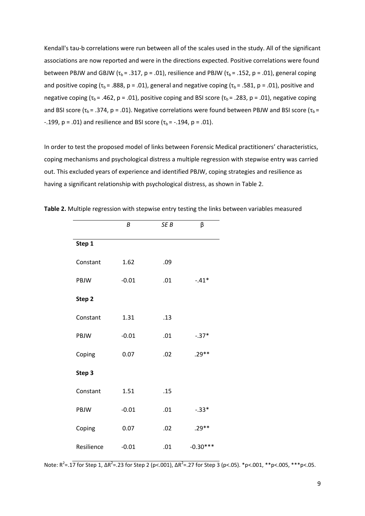Kendall's tau-b correlations were run between all of the scales used in the study. All of the significant associations are now reported and were in the directions expected. Positive correlations were found between PBJW and GBJW ( $\tau_b$  = .317, p = .01), resilience and PBJW ( $\tau_b$  = .152, p = .01), general coping and positive coping (τ<sub>b</sub> = .888, p = .01), general and negative coping (τ<sub>b</sub> = .581, p = .01), positive and negative coping (τ<sub>b</sub> = .462, p = .01), positive coping and BSI score (τ<sub>b</sub> = .283, p = .01), negative coping and BSI score ( $\tau_b$  = .374, p = .01). Negative correlations were found between PBJW and BSI score ( $\tau_b$  = -.199,  $p = .01$ ) and resilience and BSI score ( $\tau_b$  = -.194,  $p = .01$ ).

In order to test the proposed model of links between Forensic Medical practitioners' characteristics, coping mechanisms and psychological distress a multiple regression with stepwise entry was carried out. This excluded years of experience and identified PBJW, coping strategies and resilience as having a significant relationship with psychological distress, as shown in Table 2.

|            | B       | SE <sub>B</sub> | β          |
|------------|---------|-----------------|------------|
| Step 1     |         |                 |            |
| Constant   | 1.62    | .09             |            |
| PBJW       | $-0.01$ | .01             | $-.41*$    |
| Step 2     |         |                 |            |
| Constant   | 1.31    | .13             |            |
| PBJW       | $-0.01$ | .01             | $-.37*$    |
| Coping     | 0.07    | .02             | $.29**$    |
| Step 3     |         |                 |            |
| Constant   | 1.51    | .15             |            |
| PBJW       | $-0.01$ | .01             | $-.33*$    |
| Coping     | 0.07    | .02             | $.29**$    |
| Resilience | $-0.01$ | .01             | $-0.30***$ |

**Table 2.** Multiple regression with stepwise entry testing the links between variables measured

Note: R<sup>2</sup>=.17 for Step 1, ΔR<sup>2</sup>=.23 for Step 2 (p<.001), ΔR<sup>2</sup>=.27 for Step 3 (p<.05). \*p<.001, \*\*p<.005, \*\*\*p<.05.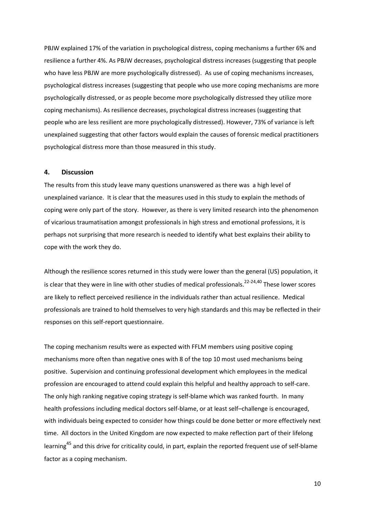PBJW explained 17% of the variation in psychological distress, coping mechanisms a further 6% and resilience a further 4%. As PBJW decreases, psychological distress increases (suggesting that people who have less PBJW are more psychologically distressed). As use of coping mechanisms increases, psychological distress increases (suggesting that people who use more coping mechanisms are more psychologically distressed, or as people become more psychologically distressed they utilize more coping mechanisms). As resilience decreases, psychological distress increases (suggesting that people who are less resilient are more psychologically distressed). However, 73% of variance is left unexplained suggesting that other factors would explain the causes of forensic medical practitioners psychological distress more than those measured in this study.

## **4. Discussion**

The results from this study leave many questions unanswered as there was a high level of unexplained variance. It is clear that the measures used in this study to explain the methods of coping were only part of the story. However, as there is very limited research into the phenomenon of vicarious traumatisation amongst professionals in high stress and emotional professions, it is perhaps not surprising that more research is needed to identify what best explains their ability to cope with the work they do.

Although the resilience scores returned in this study were lower than the general (US) population, it is clear that they were in line with other studies of medical professionals.<sup>22-24,40</sup> These lower scores are likely to reflect perceived resilience in the individuals rather than actual resilience. Medical professionals are trained to hold themselves to very high standards and this may be reflected in their responses on this self-report questionnaire.

The coping mechanism results were as expected with FFLM members using positive coping mechanisms more often than negative ones with 8 of the top 10 most used mechanisms being positive. Supervision and continuing professional development which employees in the medical profession are encouraged to attend could explain this helpful and healthy approach to self-care. The only high ranking negative coping strategy is self-blame which was ranked fourth. In many health professions including medical doctors self-blame, or at least self–challenge is encouraged, with individuals being expected to consider how things could be done better or more effectively next time. All doctors in the United Kingdom are now expected to make reflection part of their lifelong learning<sup>45</sup> and this drive for criticality could, in part, explain the reported frequent use of self-blame factor as a coping mechanism.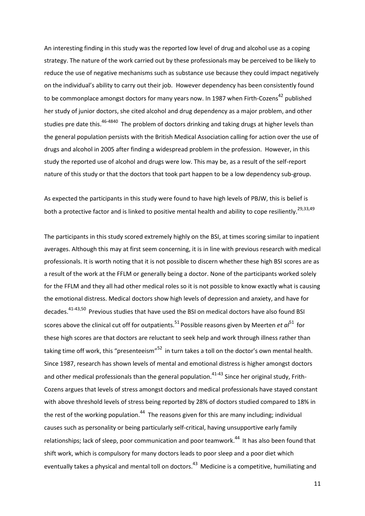An interesting finding in this study was the reported low level of drug and alcohol use as a coping strategy. The nature of the work carried out by these professionals may be perceived to be likely to reduce the use of negative mechanisms such as substance use because they could impact negatively on the individual's ability to carry out their job. However dependency has been consistently found to be commonplace amongst doctors for many years now. In 1987 when Firth-Cozens<sup>42</sup> published her study of junior doctors, she cited alcohol and drug dependency as a major problem, and other studies pre date this.<sup>46-4840</sup> The problem of doctors drinking and taking drugs at higher levels than the general population persists with the British Medical Association calling for action over the use of drugs and alcohol in 2005 after finding a widespread problem in the profession. However, in this study the reported use of alcohol and drugs were low. This may be, as a result of the self-report nature of this study or that the doctors that took part happen to be a low dependency sub-group.

As expected the participants in this study were found to have high levels of PBJW, this is belief is both a protective factor and is linked to positive mental health and ability to cope resiliently.<sup>29,33,49</sup>

The participants in this study scored extremely highly on the BSI, at times scoring similar to inpatient averages. Although this may at first seem concerning, it is in line with previous research with medical professionals. It is worth noting that it is not possible to discern whether these high BSI scores are as a result of the work at the FFLM or generally being a doctor. None of the participants worked solely for the FFLM and they all had other medical roles so it is not possible to know exactly what is causing the emotional distress. Medical doctors show high levels of depression and anxiety, and have for decades.<sup>41-43,50</sup> Previous studies that have used the BSI on medical doctors have also found BSI scores above the clinical cut off for outpatients.<sup>51</sup> Possible reasons given by Meerten *et al*<sup>51</sup> for these high scores are that doctors are reluctant to seek help and work through illness rather than taking time off work, this "presenteeism"<sup>52</sup> in turn takes a toll on the doctor's own mental health. Since 1987, research has shown levels of mental and emotional distress is higher amongst doctors and other medical professionals than the general population.<sup>41-43</sup> Since her original study, Frith-Cozens argues that levels of stress amongst doctors and medical professionals have stayed constant with above threshold levels of stress being reported by 28% of doctors studied compared to 18% in the rest of the working population.<sup>44</sup> The reasons given for this are many including; individual causes such as personality or being particularly self-critical, having unsupportive early family relationships; lack of sleep, poor communication and poor teamwork.<sup>44</sup> It has also been found that shift work, which is compulsory for many doctors leads to poor sleep and a poor diet which eventually takes a physical and mental toll on doctors.<sup>43</sup> Medicine is a competitive, humiliating and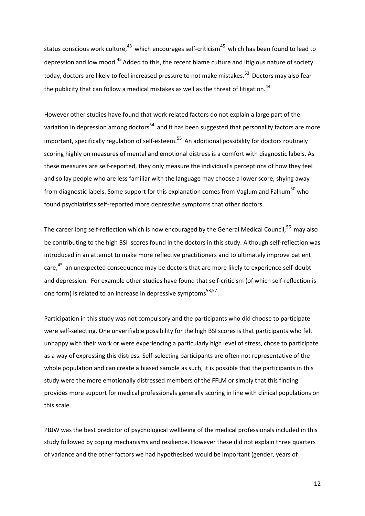status conscious work culture,<sup>43</sup> which encourages self-criticism<sup>45</sup> which has been found to lead to depression and low mood.<sup>45</sup> Added to this, the recent blame culture and litigious nature of society today, doctors are likely to feel increased pressure to not make mistakes. <sup>53</sup> Doctors may also fear the publicity that can follow a medical mistakes as well as the threat of litigation.<sup>44</sup>

However other studies have found that work related factors do not explain a large part of the variation in depression among doctors<sup>54</sup> and it has been suggested that personality factors are more important, specifically regulation of self-esteem.<sup>55</sup> An additional possibility for doctors routinely scoring highly on measures of mental and emotional distress is a comfort with diagnostic labels. As these measures are self-reported, they only measure the individual's perceptions of how they feel and so lay people who are less familiar with the language may choose a lower score, shying away from diagnostic labels. Some support for this explanation comes from Vaglum and Falkum<sup>50</sup> who found psychiatrists self-reported more depressive symptoms that other doctors.

The career long self-reflection which is now encouraged by the General Medical Council,<sup>56</sup> may also be contributing to the high BSI scores found in the doctors in this study. Although self-reflection was introduced in an attempt to make more reflective practitioners and to ultimately improve patient care,<sup>45</sup> an unexpected consequence may be doctors that are more likely to experience self-doubt and depression. For example other studies have found that self-criticism (of which self-reflection is one form) is related to an increase in depressive symptoms<sup>53,57</sup>.

Participation in this study was not compulsory and the participants who did choose to participate were self-selecting. One unverifiable possibility for the high BSI scores is that participants who felt unhappy with their work or were experiencing a particularly high level of stress, chose to participate as a way of expressing this distress. Self-selecting participants are often not representative of the whole population and can create a biased sample as such, it is possible that the participants in this study were the more emotionally distressed members of the FFLM or simply that this finding provides more support for medical professionals generally scoring in line with clinical populations on this scale.

PBJW was the best predictor of psychological wellbeing of the medical professionals included in this study followed by coping mechanisms and resilience. However these did not explain three quarters of variance and the other factors we had hypothesised would be important (gender, years of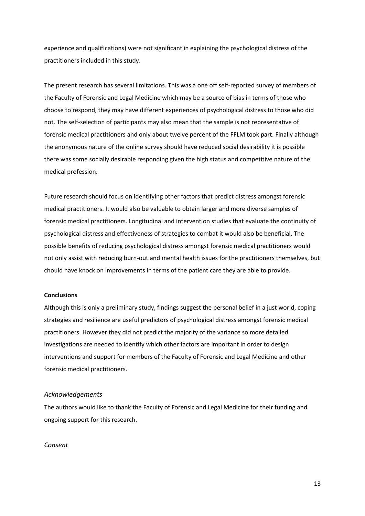experience and qualifications) were not significant in explaining the psychological distress of the practitioners included in this study.

The present research has several limitations. This was a one off self-reported survey of members of the Faculty of Forensic and Legal Medicine which may be a source of bias in terms of those who choose to respond, they may have different experiences of psychological distress to those who did not. The self-selection of participants may also mean that the sample is not representative of forensic medical practitioners and only about twelve percent of the FFLM took part. Finally although the anonymous nature of the online survey should have reduced social desirability it is possible there was some socially desirable responding given the high status and competitive nature of the medical profession.

Future research should focus on identifying other factors that predict distress amongst forensic medical practitioners. It would also be valuable to obtain larger and more diverse samples of forensic medical practitioners. Longitudinal and intervention studies that evaluate the continuity of psychological distress and effectiveness of strategies to combat it would also be beneficial. The possible benefits of reducing psychological distress amongst forensic medical practitioners would not only assist with reducing burn-out and mental health issues for the practitioners themselves, but chould have knock on improvements in terms of the patient care they are able to provide.

#### **Conclusions**

Although this is only a preliminary study, findings suggest the personal belief in a just world, coping strategies and resilience are useful predictors of psychological distress amongst forensic medical practitioners. However they did not predict the majority of the variance so more detailed investigations are needed to identify which other factors are important in order to design interventions and support for members of the Faculty of Forensic and Legal Medicine and other forensic medical practitioners.

## *Acknowledgements*

The authors would like to thank the Faculty of Forensic and Legal Medicine for their funding and ongoing support for this research.

## *Consent*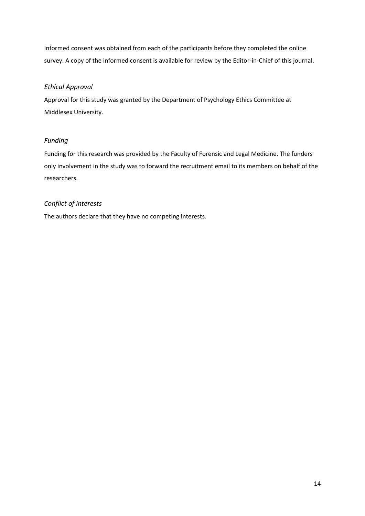Informed consent was obtained from each of the participants before they completed the online survey. A copy of the informed consent is available for review by the Editor-in-Chief of this journal.

# *Ethical Approval*

Approval for this study was granted by the Department of Psychology Ethics Committee at Middlesex University.

# *Funding*

Funding for this research was provided by the Faculty of Forensic and Legal Medicine. The funders only involvement in the study was to forward the recruitment email to its members on behalf of the researchers.

# *Conflict of interests*

The authors declare that they have no competing interests.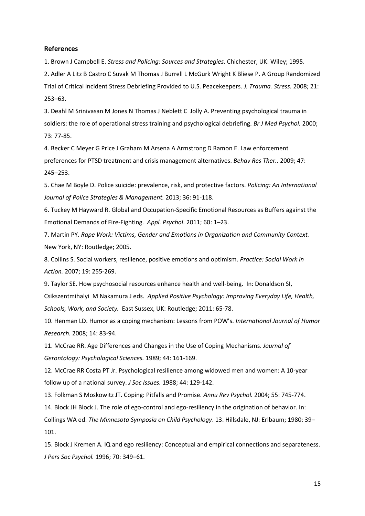#### **References**

1. Brown J Campbell E. *Stress and Policing: Sources and Strategies*. Chichester, UK: Wiley; 1995.

2. Adler A Litz B Castro C Suvak M Thomas J Burrell L McGurk Wright K Bliese P. A Group Randomized Trial of Critical Incident Stress Debriefing Provided to U.S. Peacekeepers. *J. Trauma. Stress.* 2008; 21: 253–63.

3. Deahl M Srinivasan M Jones N Thomas J Neblett C Jolly A. Preventing psychological trauma in soldiers: the role of operational stress training and psychological debriefing. *Br J Med Psychol.* 2000; 73: 77-85.

4. Becker C Meyer G Price J Graham M Arsena A Armstrong D Ramon E. Law enforcement preferences for PTSD treatment and crisis management alternatives. *Behav Res Ther..* 2009; 47: 245–253.

5. Chae M Boyle D. Police suicide: prevalence, risk, and protective factors. *Policing: An International Journal of Police Strategies & Management.* 2013; 36: 91-118.

6. Tuckey M Hayward R. Global and Occupation-Specific Emotional Resources as Buffers against the Emotional Demands of Fire-Fighting. *Appl. Psychol*. 2011; 60: 1–23.

7. Martin PY. *Rape Work: Victims, Gender and Emotions in Organization and Community Context.* New York, NY: Routledge; 2005.

8. Collins S. Social workers, resilience, positive emotions and optimism. *Practice: Social Work in Action.* 2007; 19: 255-269.

9. Taylor SE. [How psychosocial resources enhance health and well-being.](http://libportal.canterbury.ac.uk/V/395PAYDRPTFJSMSBK5NKC1V456S6JXLL68KR1H12N96SNDSHKE-10400?func=lateral-link&doc_number=008069272&line_number=0008) In: [Donaldson SI,](http://libportal.canterbury.ac.uk/V/395PAYDRPTFJSMSBK5NKC1V456S6JXLL68KR1H12N96SNDSHKE-10402?func=lateral-link&doc_number=008069272&line_number=0091)  [Csikszentmihalyi M N](http://libportal.canterbury.ac.uk/V/395PAYDRPTFJSMSBK5NKC1V456S6JXLL68KR1H12N96SNDSHKE-10403?func=lateral-link&doc_number=008069272&line_number=0092)akamura J eds. *[Applied Positive Psychology: Improving Everyday Life, Health,](http://libportal.canterbury.ac.uk/V/395PAYDRPTFJSMSBK5NKC1V456S6JXLL68KR1H12N96SNDSHKE-10403?func=lateral-link&doc_number=008069272&line_number=0092)  Schools, Work, and Society.* [East Sussex, UK: Routledge; 2011: 65-78.](http://libportal.canterbury.ac.uk/V/395PAYDRPTFJSMSBK5NKC1V456S6JXLL68KR1H12N96SNDSHKE-10404?func=lateral-link&doc_number=008069272&line_number=0093) 

10. Henman LD. Humor as a coping mechanism: Lessons from POW's. *International Journal of Humor Research.* 2008; 14: 83-94.

11. McCrae RR. Age Differences and Changes in the Use of Coping Mechanisms. *Journal of Gerontology: Psychological Sciences.* 1989; 44: 161-169.

12. McCrae RR Costa PT Jr. Psychological resilience among widowed men and women: A 10-year follow up of a national survey. *J Soc Issues.* 1988; 44: 129-142.

13. Folkman S Moskowitz JT. Coping: Pitfalls and Promise. *Annu Rev Psychol.* 2004; 55: 745-774.

14. Block JH Block J. The role of ego-control and ego-resiliency in the origination of behavior. In: Collings WA ed. *The Minnesota Symposia on Child Psychology*. 13. Hillsdale, NJ: Erlbaum; 1980: 39– 101.

15. Block J Kremen A. IQ and ego resiliency: Conceptual and empirical connections and separateness. *J Pers Soc Psychol.* 1996; 70: 349–61.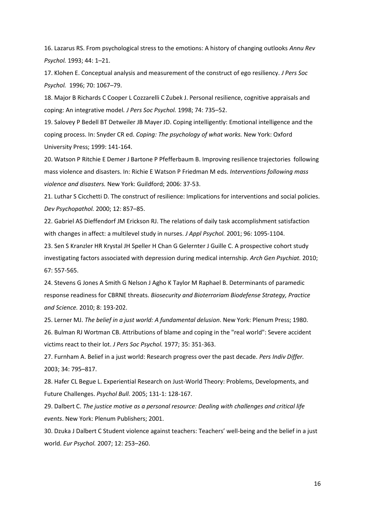16. Lazarus RS. From psychological stress to the emotions: A history of changing outlooks *Annu Rev Psychol.* 1993; 44: 1–21.

17. Klohen E. Conceptual analysis and measurement of the construct of ego resiliency. *J Pers Soc Psychol.* 1996; 70: 1067–79.

18. Major B Richards C Cooper L Cozzarelli C Zubek J. Personal resilience, cognitive appraisals and coping: An integrative model*. J Pers Soc Psychol.* 1998; 74: 735–52.

19. Salovey P Bedell BT Detweiler JB Mayer JD. Coping intelligently: Emotional intelligence and the coping process. In: Snyder CR ed. *Coping: The psychology of what works.* New York: Oxford University Press; 1999: 141-164.

20. Watson P Ritchie E Demer J Bartone P Pfefferbaum B. Improving resilience trajectories following mass violence and disasters. In: Richie E Watson P Friedman M eds. *Interventions following mass violence and disasters.* New York: Guildford; 2006: 37-53.

21. Luthar S Cicchetti D. The construct of resilience: Implications for interventions and social policies. *Dev Psychopathol.* 2000; 12: 857–85.

22. Gabriel AS Dieffendorf JM Erickson RJ. The relations of daily task accomplishment satisfaction with changes in affect: a multilevel study in nurses. *J Appl Psychol.* 2001; 96: 1095-1104.

23. Sen S Kranzler HR Krystal JH Speller H Chan G Gelernter J Guille C. A prospective cohort study investigating factors associated with depression during medical internship. *Arch Gen Psychiat.* 2010; 67: 557-565.

24. Stevens G Jones A Smith G Nelson J Agho K Taylor M Raphael B. Determinants of paramedic response readiness for CBRNE threats. *Biosecurity and Bioterroriam Biodefense Strategy, Practice and Science.* 2010; 8: 193-202.

25. Lerner MJ. *The belief in a just world: A fundamental delusion*. New York: Plenum Press; 1980. 26. Bulman RJ Wortman CB. Attributions of blame and coping in the "real world": Severe accident victims react to their lot. *J Pers Soc Psychol.* 1977; 35: 351-363.

27. Furnham A. Belief in a just world: Research progress over the past decade. *Pers Indiv Differ.* 2003; 34: 795–817.

28. Hafer CL Begue L. Experiential Research on Just-World Theory: Problems, Developments, and Future Challenges. *Psychol Bull.* 2005; 131-1: 128-167.

29. Dalbert C. *The justice motive as a personal resource: Dealing with challenges and critical life events*. New York: Plenum Publishers; 2001.

30. Dzuka J Dalbert C Student violence against teachers: Teachers' well-being and the belief in a just world. *Eur Psychol.* 2007; 12: 253–260.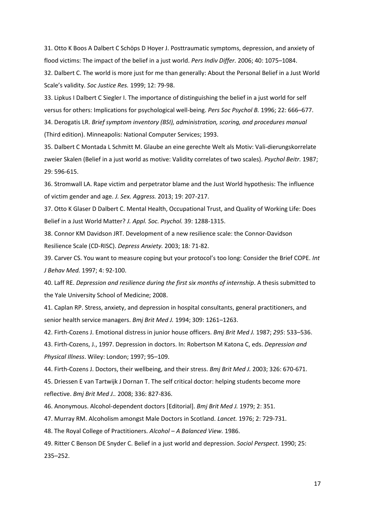31. Otto K Boos A Dalbert C Schöps D Hoyer J. Posttraumatic symptoms, depression, and anxiety of flood victims: The impact of the belief in a just world. *Pers Indiv Differ.* 2006; 40: 1075–1084.

32. Dalbert C. The world is more just for me than generally: About the Personal Belief in a Just World Scale's validity. *Soc Justice Res.* 1999; 12: 79-98.

33. Lipkus I Dalbert C Siegler I. The importance of distinguishing the belief in a just world for self versus for others: Implications for psychological well-being. *Pers Soc Psychol B.* 1996; 22: 666–677. 34. Derogatis LR. *Brief symptom inventory (BSI), administration, scoring, and procedures manual* (Third edition). Minneapolis: National Computer Services; 1993.

35. Dalbert C Montada L Schmitt M. Glaube an eine gerechte Welt als Motiv: Vali-dierungskorrelate zweier Skalen (Belief in a just world as motive: Validity correlates of two scales). *Psychol Beitr.* 1987; 29: 596-615.

36. Stromwall LA. Rape victim and perpetrator blame and the Just World hypothesis: The influence of victim gender and age. *J. Sex. Aggress.* 2013; 19: 207-217.

37. Otto K Glaser D Dalbert C. Mental Health, Occupational Trust, and Quality of Working Life: Does Belief in a Just World Matter? *J. Appl. Soc. Psychol.* 39: 1288-1315.

38. Connor KM Davidson JRT. Development of a new resilience scale: the Connor-Davidson Resilience Scale (CD-RISC). *Depress Anxiety.* 2003; 18*:* 71-82.

39. Carver CS. You want to measure coping but your protocol's too long: Consider the Brief COPE. *Int J Behav Med.* 1997; 4: 92-100.

40. Laff RE. *Depression and resilience during the first six months of internship*. A thesis submitted to the Yale University School of Medicine; 2008.

41. Caplan RP. Stress, anxiety, and depression in hospital consultants, general practitioners, and senior health service managers. *Bmj Brit Med J.* 1994; 309: 1261–1263.

42. Firth-Cozens J. Emotional distress in junior house officers. *Bmj Brit Med J.* 1987; *295*: 533–536.

43. Firth-Cozens, J., 1997. Depression in doctors. In: Robertson M Katona C, eds. *Depression and Physical Illness*. Wiley: London; 1997; 95–109.

44. Firth-Cozens J. Doctors, their wellbeing, and their stress. *Bmj Brit Med J.* 2003; 326: 670-671.

45. Driessen E van Tartwijk J Dornan T. The self critical doctor: helping students become more reflective. *Bmj Brit Med J..* 2008; 336: 827-836.

46. Anonymous. Alcohol-dependent doctors [Editorial]. *Bmj Brit Med J.* 1979; 2: 351.

47. Murray RM. Alcoholism amongst Male Doctors in Scotland. *Lancet.* 1976; 2: 729-731.

48. The Royal College of Practitioners. *Alcohol – A Balanced View.* 1986.

49. Ritter C Benson DE Snyder C. Belief in a just world and depression. *Sociol Perspect*. 1990; 25: 235–252.